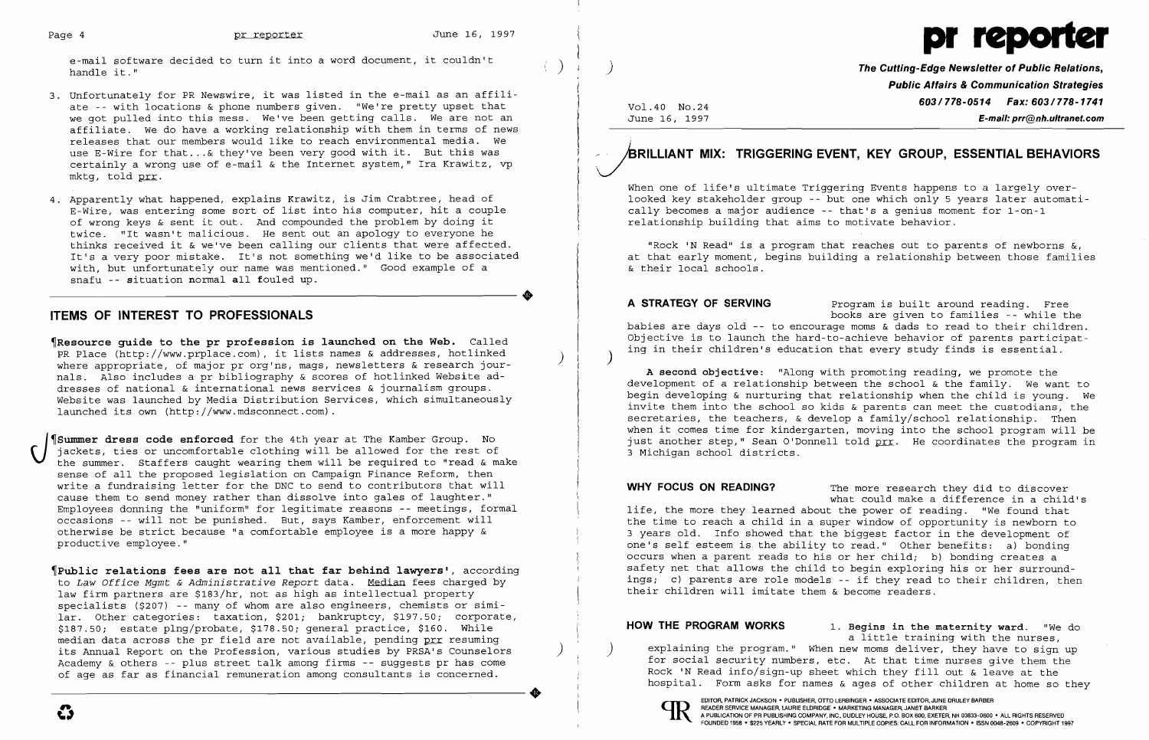

- 3. Unfortunately for PR Newswire, it was listed in the e-mail as an affili ate -- with locations & phone numbers given. "We're pretty upset that we got pulled into this mess. We've been getting calls. We are not an affiliate. We do have a working relationship with them in terms of news releases that our members would like to reach environmental media. We use E-Wire for that ... & they've been very good with it. But this was certainly a wrong use of e-mail & the Internet system," Ira Krawitz, vp mktg, told prr.
- 4. Apparently what happened, explains Krawitz, is Jim Crabtree, head of E-Wire, was entering some sort of list into his computer, hit a couple of wrong keys & sent it out. And compounded the problem by doing it  $\overline{a}$ twice. "It wasn't malicious. He sent out an apology to everyone he thinks received it & we've been calling our clients that were affected. It's a very poor mistake. It's not something we'd like to be associated with, but unfortunately our name was mentioned." Good example of a snafu -- situation normal all fouled up.

- The parameter of the prior is launched on the Web. Called PR Place (http://www.prplace.com). it lists names & addresses, hotlinked ) where appropriate, of major pr org'ns, mags, newsletters & research journals. Also includes a pr bibliography & scores of hotlinked Website addresses of national & international news services & journalism groups. Website was launched by Media Distribution Services, which simultaneously launched its own (http://www.mdsconnect.com).
- Summer dress code enforced for the 4th year at The Kamber Group. No jackets, ties or uncomfortable clothing will be allowed for the rest of the summer. Staffers caught wearing them will be required to "read & make sense of all the proposed legislation on Campaign Finance Reform, then write a fundraising letter for the DNC to send to contributors that will cause them to send money rather than dissolve into gales of laughter." Employees donning the "uniform" for legitimate reasons -- meetings, formal occasions -- will not be punished. But, says Kamber, enforcement will otherwise be strict because "a comfortable employee is a more happy & productive employee."

•

e-mail software decided to turn it into a word document, it couldn't  $\begin{pmatrix} 1 & 1 \end{pmatrix}$  ) and the Cutting-Edge Newsletter of Public Relations,

## ITEMS OF INTEREST TO PROFESSIONALS

A STRATEGY OF SERVING Program is built around reading. Free babies are days old -- to encourage moms & dads to read to their children. Objective is to launch the hard-to-achieve behavior of parents participating in their children's education that every study finds is essential. )

WHY FOCUS ON READING? The more research they did to discover what could make a difference in a child's life, the more they learned about the power of reading. "We found that the time to reach a child in a super window of opportunity is newborn to 3 years old. Info showed that the biggest factor in the development of one's self esteem is the ability to read." Other benefits: a) bonding occurs when a parent reads to his or her child; b) bonding creates a safety net that allows the child to begin exploring his or her surroundings; c) parents are role models -- if they read to their children, then their children will imitate them & become readers.

~Public relations fees are not all that far behind lawyers', according to *Law Office Mgmt* & *Administrative Report* data. Median fees charged by law firm partners are \$183/hr, not as high as intellectual property specialists (\$207) -- many of whom are also engineers, chemists or similar. Other categories: taxation, \$201; bankruptcy, \$197.50; corporate, \$187.50; estate plng/probate, \$178.50; general practice, \$160. While median data across the pr field are not available, pending prx resuming its Annual Report on the Profession, various studies by PRSA's Counselors ) Academy & others -- plus street talk among firms -- suggests pr has come of age as far as financial remuneration among consultants is concerned. of age as far as financial remuneration among consultants is concerned.

HOW THE PROGRAM WORKS 1. Begins in the maternity ward. "We do a little training with the nurses, explaining the program." When new moms deliver, they have to sign up for social security numbers, etc. At that time nurses give them the Rock 'N Read info/sign-up sheet which they fill out & leave at the hospital. Form asks for names & ages of other children at home so they

> EDITOR, PATRICK JACKSON • PUBLISHER, OTTO LERBINGER • ASSOCIATE EDITOR, JUNE DRULEY BARBER<br>READER SERVICE MANAGER, LAURIE ELDRIDGE • MARKETING MANAGER, JANET BARKER<br>A BUBLICATION OF RE RUBLICUING COMBANY (NO BUBLICUIDE R.B READER SERVICE MANAGER, LAURIE ELDRIDGE • MARKETING MANAGER, JANET BARKER<br>A PUBLICATION OF PR PUBLISHING COMPANY, INC., DUDLEY HOUSE, P.O. BOX 600, EXETER, NH 03833-0600 • ALL RIGHTS RESERVED FOUNDED 1958 • \$225 YEARLY· SPECIAL RATE FOR MULTIPLE COPIES: CALL FOR INFORMATION· ISSN 0048-2609 • COPYRIGHT 1997

Vol.40 NO.24 June 16, 1997 Public Affairs & Communication Strategies 603/778-0514 Fax: 603/778-1741 E-mail: prr@nh.ultranet.com

# JRILLIANT MIX: TRIGGERING EVENT, KEY GROUP, ESSENTIAL BEHAVIORS

When one of life's ultimate Triggering Events happens to a largely overlooked key stakeholder group -- but one which only 5 years later automatically becomes a major audience -- that's a genius moment for 1-on-1 relationship building that aims to motivate behavior.

"Rock 'N Read" is a program that reaches out to parents of newborns &, at that early moment, begins building a relationship between those families & their local schools.

books are given to families -- while the

A second objective: "Along with promoting reading, we promote the development of a relationship between the school & the family. We want to begin developing & nurturing that relationship when the child is young. We invite them into the school so kids & parents can meet the custodians, the secretaries, the teachers, & develop a family/school relationship. Then when it comes time for kindergarten, moving into the school program will be just another step," Sean O'Donnell told prr. He coordinates the program in 3 Michigan school districts.